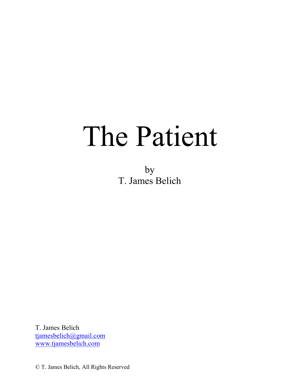# The Patient

by T. James Belich

T. James Belich tjamesbelich@gmail.com www.tjamesbelich.com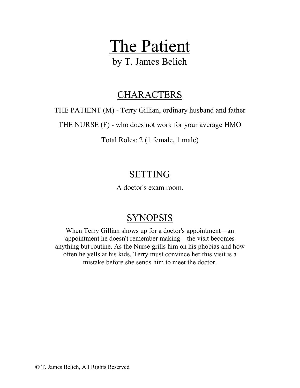# The Patient

by T. James Belich

### **CHARACTERS**

THE PATIENT (M) - Terry Gillian, ordinary husband and father

THE NURSE (F) - who does not work for your average HMO

Total Roles: 2 (1 female, 1 male)

# SETTING

A doctor's exam room.

# SYNOPSIS

When Terry Gillian shows up for a doctor's appointment—an appointment he doesn't remember making—the visit becomes anything but routine. As the Nurse grills him on his phobias and how often he yells at his kids, Terry must convince her this visit is a mistake before she sends him to meet the doctor.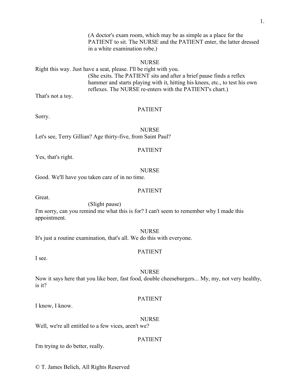(A doctor's exam room, which may be as simple as a place for the PATIENT to sit. The NURSE and the PATIENT enter, the latter dressed in a white examination robe.)

#### NURSE

Right this way. Just have a seat, please. I'll be right with you. (She exits. The PATIENT sits and after a brief pause finds a reflex hammer and starts playing with it, hitting his knees, etc., to test his own reflexes. The NURSE re-enters with the PATIENT's chart.)

That's not a toy.

#### PATIENT

Sorry.

NURSE Let's see, Terry Gillian? Age thirty-five, from Saint Paul?

#### PATIENT

Yes, that's right.

#### NURSE

Good. We'll have you taken care of in no time.

#### PATIENT

Great.

(Slight pause)

I'm sorry, can you remind me what this is for? I can't seem to remember why I made this appointment.

#### NURSE

It's just a routine examination, that's all. We do this with everyone.

#### PATIENT

I see.

#### NURSE

Now it says here that you like beer, fast food, double cheeseburgers... My, my, not very healthy, is it?

#### PATIENT

I know, I know.

#### NURSE

PATIENT

Well, we're all entitled to a few vices, aren't we?

I'm trying to do better, really.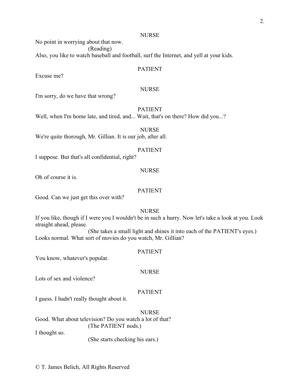No point in worrying about that now.

(Reading)

Also, you like to watch baseball and football, surf the Internet, and yell at your kids.

#### PATIENT

Excuse me?

#### **NURSE**

I'm sorry, do we have that wrong?

#### PATIENT

Well, when I'm home late, and tired, and... Wait, that's on there? How did you...?

NURSE We're quite thorough, Mr. Gillian. It is our job, after all.

#### PATIENT

I suppose. But that's all confidential, right?

#### NURSE

Oh of course it is.

#### PATIENT

Good. Can we just get this over with?

#### NURSE

If you like, though if I were you I wouldn't be in such a hurry. Now let's take a look at you. Look straight ahead, please.

(She takes a small light and shines it into each of the PATIENT's eyes.) Looks normal. What sort of movies do you watch, Mr. Gillian?

#### PATIENT

You know, whatever's popular.

#### NURSE

Lots of sex and violence?

#### PATIENT

I guess. I hadn't really thought about it.

**NURSE** 

Good. What about television? Do you watch a lot of that? (The PATIENT nods.) I thought so.

(She starts checking his ears.)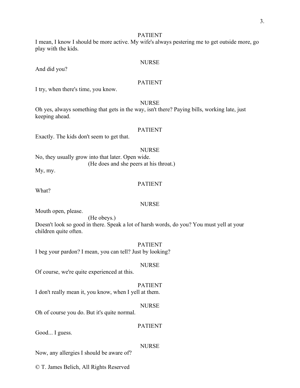I mean, I know I should be more active. My wife's always pestering me to get outside more, go play with the kids.

#### NURSE

And did you?

#### PATIENT

I try, when there's time, you know.

#### NURSE

Oh yes, always something that gets in the way, isn't there? Paying bills, working late, just keeping ahead.

#### PATIENT

Exactly. The kids don't seem to get that.

#### NURSE

No, they usually grow into that later. Open wide. (He does and she peers at his throat.)

My, my.

#### PATIENT

What?

#### NURSE

Mouth open, please.

(He obeys.) Doesn't look so good in there. Speak a lot of harsh words, do you? You must yell at your children quite often.

#### PATIENT

I beg your pardon? I mean, you can tell? Just by looking?

#### NURSE

Of course, we're quite experienced at this.

#### PATIENT

I don't really mean it, you know, when I yell at them.

#### NURSE

PATIENT

Oh of course you do. But it's quite normal.

Good... I guess.

#### NURSE

Now, any allergies I should be aware of?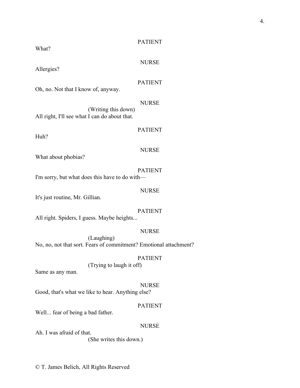What?

#### NURSE

Allergies?

#### PATIENT

Oh, no. Not that I know of, anyway.

#### NURSE

(Writing this down) All right, I'll see what I can do about that.

Huh?

#### PATIENT

#### NURSE

What about phobias?

#### PATIENT I'm sorry, but what does this have to do with—

#### NURSE

It's just routine, Mr. Gillian.

#### PATIENT

All right. Spiders, I guess. Maybe heights...

#### NURSE

(Laughing) No, no, not that sort. Fears of commitment? Emotional attachment?

#### PATIENT

(Trying to laugh it off)

Same as any man.

#### NURSE

Good, that's what we like to hear. Anything else?

#### PATIENT

Well... fear of being a bad father.

#### NURSE

Ah. I was afraid of that. (She writes this down.)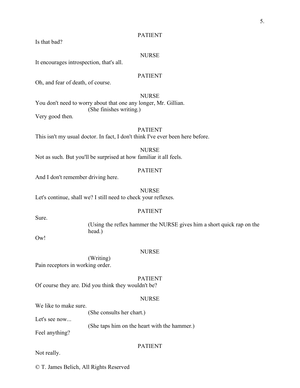Is that bad?

#### NURSE

It encourages introspection, that's all.

#### PATIENT

Oh, and fear of death, of course.

#### NURSE

You don't need to worry about that one any longer, Mr. Gillian. (She finishes writing.)

Very good then.

#### PATIENT

This isn't my usual doctor. In fact, I don't think I've ever been here before.

#### NURSE

Not as such. But you'll be surprised at how familiar it all feels.

#### PATIENT

And I don't remember driving here.

#### NURSE

Let's continue, shall we? I still need to check your reflexes.

#### PATIENT

(Using the reflex hammer the NURSE gives him a short quick rap on the head.)

Ow<sup>1</sup>

Sure.

#### NURSE

(Writing) Pain receptors in working order.

#### PATIENT

Of course they are. Did you think they wouldn't be?

#### NURSE

We like to make sure.

(She consults her chart.)

Let's see now...

(She taps him on the heart with the hammer.)

Feel anything?

#### PATIENT

Not really.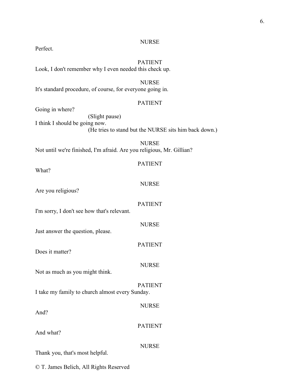Perfect.

#### PATIENT

Look, I don't remember why I even needed this check up.

#### NURSE

It's standard procedure, of course, for everyone going in.

#### PATIENT

Going in where?

(Slight pause) I think I should be going now. (He tries to stand but the NURSE sits him back down.)

**NURSE** Not until we're finished, I'm afraid. Are you religious, Mr. Gillian?

| What?                                           | <b>PATIENT</b> |
|-------------------------------------------------|----------------|
| Are you religious?                              | <b>NURSE</b>   |
| I'm sorry, I don't see how that's relevant.     | <b>PATIENT</b> |
|                                                 | <b>NURSE</b>   |
| Just answer the question, please.               | <b>PATIENT</b> |
| Does it matter?                                 | <b>NURSE</b>   |
| Not as much as you might think.                 | <b>PATIENT</b> |
| I take my family to church almost every Sunday. | <b>NURSE</b>   |
| And?                                            | <b>PATIENT</b> |
| And what?                                       | <b>NURSE</b>   |
| Thank you, that's most helpful.                 |                |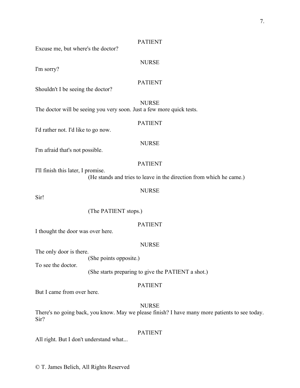Excuse me, but where's the doctor?

#### NURSE

I'm sorry?

#### PATIENT

Shouldn't I be seeing the doctor?

NURSE

The doctor will be seeing you very soon. Just a few more quick tests.

#### PATIENT

I'd rather not. I'd like to go now.

#### NURSE

I'm afraid that's not possible.

#### PATIENT

I'll finish this later, I promise. (He stands and tries to leave in the direction from which he came.)

#### NURSE

Sir!

(The PATIENT stops.)

#### PATIENT

I thought the door was over here.

#### NURSE

The only door is there.

(She points opposite.)

To see the doctor.

(She starts preparing to give the PATIENT a shot.)

#### PATIENT

But I came from over here.

#### **NURSE**

There's no going back, you know. May we please finish? I have many more patients to see today. Sir?

#### PATIENT

All right. But I don't understand what...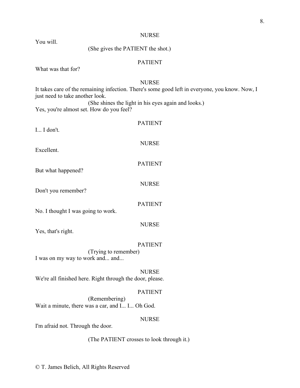You will.

#### (She gives the PATIENT the shot.)

#### PATIENT

What was that for?

#### NURSE

It takes care of the remaining infection. There's some good left in everyone, you know. Now, I just need to take another look. (She shines the light in his eyes again and looks.)

Yes, you're almost set. How do you feel?

| I I don't.                                               | <b>PATIENT</b> |  |
|----------------------------------------------------------|----------------|--|
| Excellent.                                               | <b>NURSE</b>   |  |
| But what happened?                                       | <b>PATIENT</b> |  |
| Don't you remember?                                      | <b>NURSE</b>   |  |
|                                                          | <b>PATIENT</b> |  |
| No. I thought I was going to work.                       | <b>NURSE</b>   |  |
| Yes, that's right.                                       | <b>PATIENT</b> |  |
| (Trying to remember)<br>I was on my way to work and and  |                |  |
| We're all finished here. Right through the door, please. | <b>NURSE</b>   |  |
| (Remembering)                                            | <b>PATIENT</b> |  |
| Wait a minute, there was a car, and I I Oh God.          | <b>NURSE</b>   |  |

I'm afraid not. Through the door.

(The PATIENT crosses to look through it.)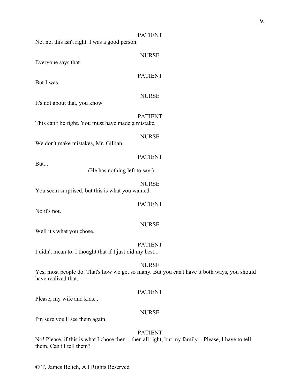No, no, this isn't right. I was a good person.

Everyone says that.

#### PATIENT

NURSE

But I was.

#### NURSE

It's not about that, you know.

PATIENT This can't be right. You must have made a mistake.

#### NURSE

PATIENT

We don't make mistakes, Mr. Gillian.

But...

(He has nothing left to say.)

#### NURSE

You seem surprised, but this is what you wanted.

#### PATIENT

No it's not.

#### **NURSE**

Well it's what you chose.

#### PATIENT

I didn't mean to. I thought that if I just did my best...

#### **NURSE**

Yes, most people do. That's how we get so many. But you can't have it both ways, you should have realized that.

#### PATIENT

Please, my wife and kids...

#### NURSE

I'm sure you'll see them again.

#### PATIENT

No! Please, if this is what I chose then... then all right, but my family... Please, I have to tell them. Can't I tell them?